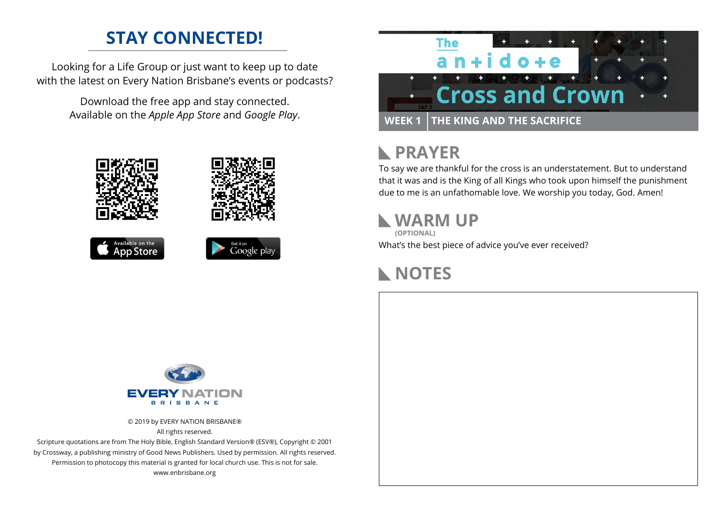### **STAY CONNECTED!**

Looking for a Life Group or just want to keep up to date with the latest on Every Nation Brisbane's events or podcasts?

> Download the free app and stay connected. Available on the *Apple App Store* and *Google Play*.











## **RAYER**

To say we are thankful for the cross is an understatement. But to understand that it was and is the King of all Kings who took upon himself the punishment due to me is an unfathomable love. We worship you today, God. Amen!

### **WARM UP**

What's the best piece of advice you've ever received? **(OPTIONAL)**

# **NOTES**



© 2019 by EVERY NATION BRISBANE® All rights reserved.

Scripture quotations are from The Holy Bible, English Standard Version® (ESV®), Copyright © 2001 by Crossway, a publishing ministry of Good News Publishers. Used by permission. All rights reserved. Permission to photocopy this material is granted for local church use. This is not for sale. www.enbrisbane.org